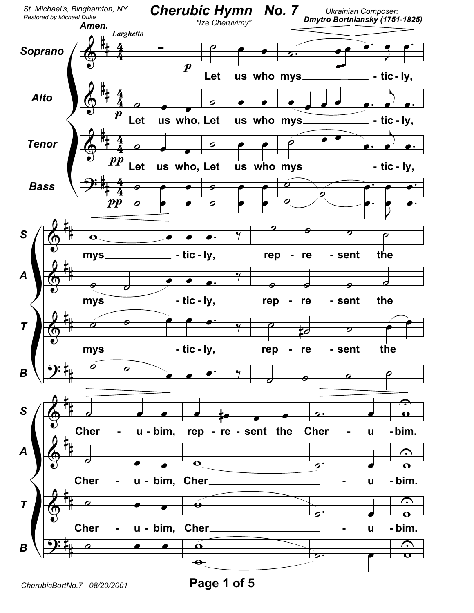

CherubicBortNo.7 08/20/2001

Page 1 of 5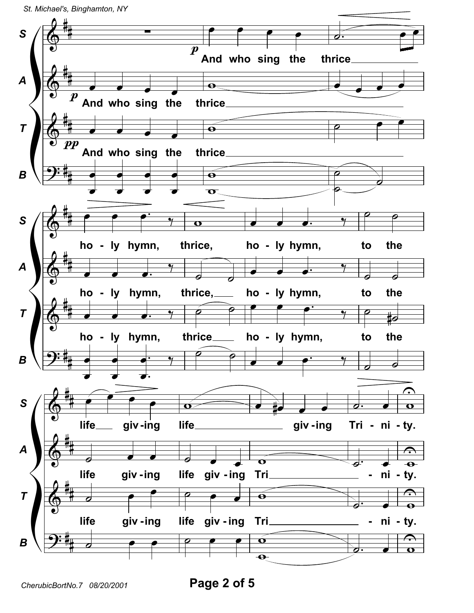

Page 2 of 5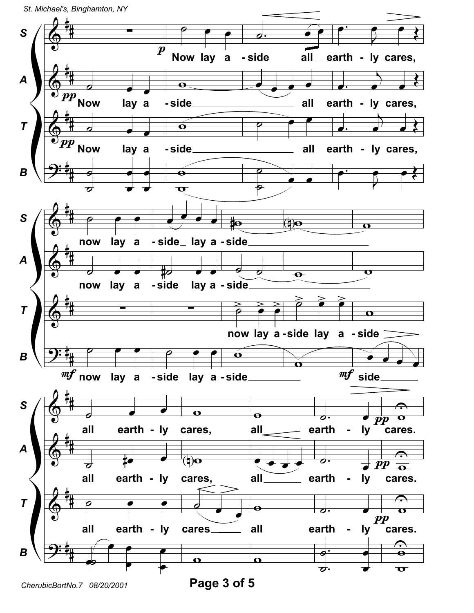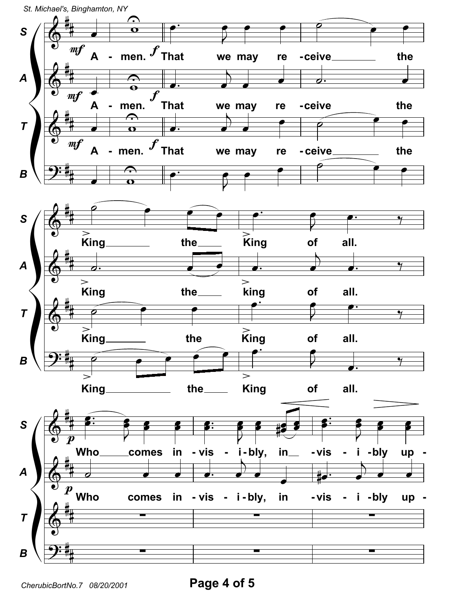